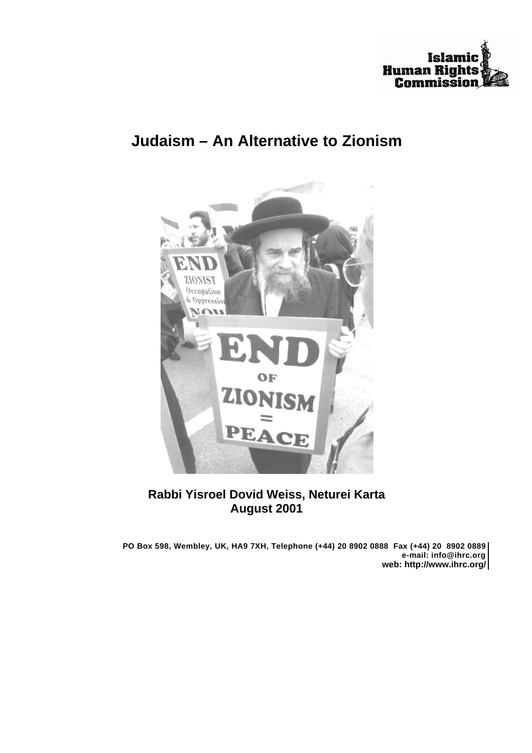

## **Judaism – An Alternative to Zionism**



#### **Rabbi Yisroel Dovid Weiss, Neturei Karta August 2001**

**PO Box 598, Wembley, UK, HA9 7XH, Telephone (+44) 20 8902 0888 Fax (+44) 20 8902 0889 e-mail: info@ihrc.org web: http://www.ihrc.org/**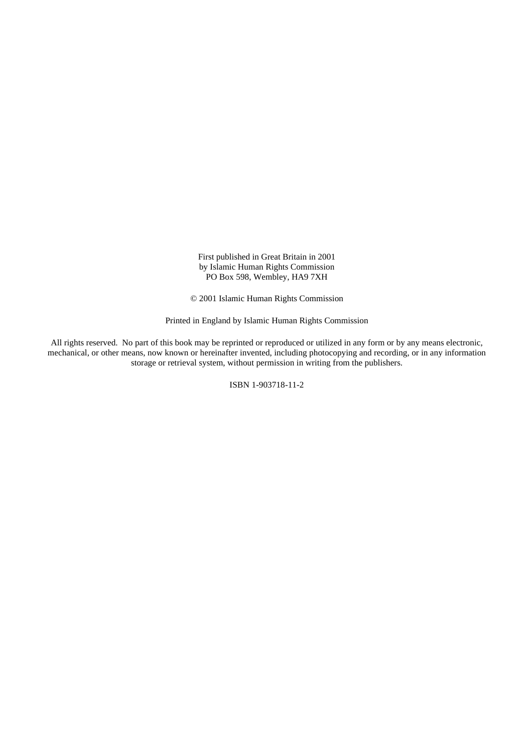First published in Great Britain in 2001 by Islamic Human Rights Commission PO Box 598, Wembley, HA9 7XH

© 2001 Islamic Human Rights Commission

Printed in England by Islamic Human Rights Commission

All rights reserved. No part of this book may be reprinted or reproduced or utilized in any form or by any means electronic, mechanical, or other means, now known or hereinafter invented, including photocopying and recording, or in any information storage or retrieval system, without permission in writing from the publishers.

ISBN 1-903718-11-2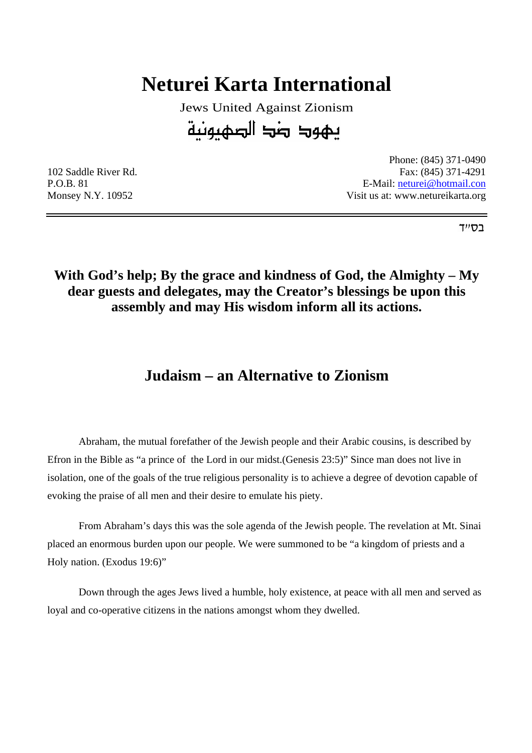# **Neturei Karta International**

Jews United Against Zionism يهود صد الصهيونية

102 Saddle River Rd. P.O.B. 81 Monsey N.Y. 10952

Phone: (845) 371-0490 Fax: (845) 371-4291 E-Mail: neturei@hotmail.con Visit us at: www.netureikarta.org

בסייד

#### **With God's help; By the grace and kindness of God, the Almighty – My dear guests and delegates, may the Creator's blessings be upon this assembly and may His wisdom inform all its actions.**

### **Judaism – an Alternative to Zionism**

Abraham, the mutual forefather of the Jewish people and their Arabic cousins, is described by Efron in the Bible as "a prince of the Lord in our midst.(Genesis 23:5)" Since man does not live in isolation, one of the goals of the true religious personality is to achieve a degree of devotion capable of evoking the praise of all men and their desire to emulate his piety.

From Abraham's days this was the sole agenda of the Jewish people. The revelation at Mt. Sinai placed an enormous burden upon our people. We were summoned to be "a kingdom of priests and a Holy nation. (Exodus 19:6)"

Down through the ages Jews lived a humble, holy existence, at peace with all men and served as loyal and co-operative citizens in the nations amongst whom they dwelled.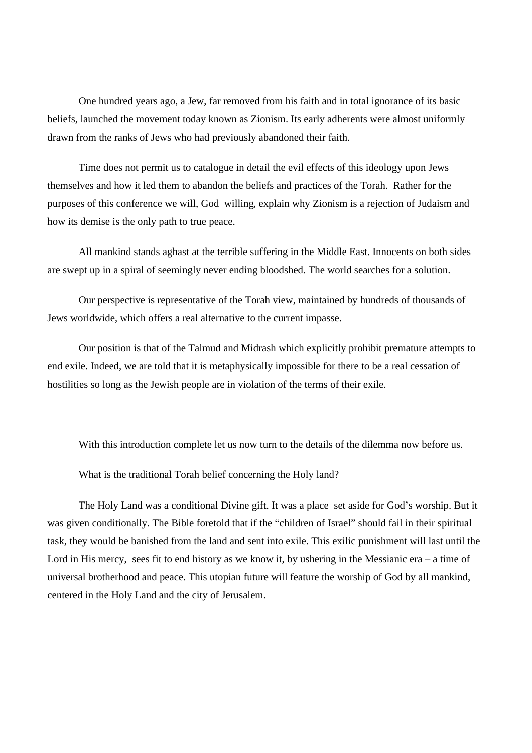One hundred years ago, a Jew, far removed from his faith and in total ignorance of its basic beliefs, launched the movement today known as Zionism. Its early adherents were almost uniformly drawn from the ranks of Jews who had previously abandoned their faith.

Time does not permit us to catalogue in detail the evil effects of this ideology upon Jews themselves and how it led them to abandon the beliefs and practices of the Torah. Rather for the purposes of this conference we will, God willing, explain why Zionism is a rejection of Judaism and how its demise is the only path to true peace.

All mankind stands aghast at the terrible suffering in the Middle East. Innocents on both sides are swept up in a spiral of seemingly never ending bloodshed. The world searches for a solution.

Our perspective is representative of the Torah view, maintained by hundreds of thousands of Jews worldwide, which offers a real alternative to the current impasse.

Our position is that of the Talmud and Midrash which explicitly prohibit premature attempts to end exile. Indeed, we are told that it is metaphysically impossible for there to be a real cessation of hostilities so long as the Jewish people are in violation of the terms of their exile.

With this introduction complete let us now turn to the details of the dilemma now before us.

What is the traditional Torah belief concerning the Holy land?

The Holy Land was a conditional Divine gift. It was a place set aside for God's worship. But it was given conditionally. The Bible foretold that if the "children of Israel" should fail in their spiritual task, they would be banished from the land and sent into exile. This exilic punishment will last until the Lord in His mercy, sees fit to end history as we know it, by ushering in the Messianic era – a time of universal brotherhood and peace. This utopian future will feature the worship of God by all mankind, centered in the Holy Land and the city of Jerusalem.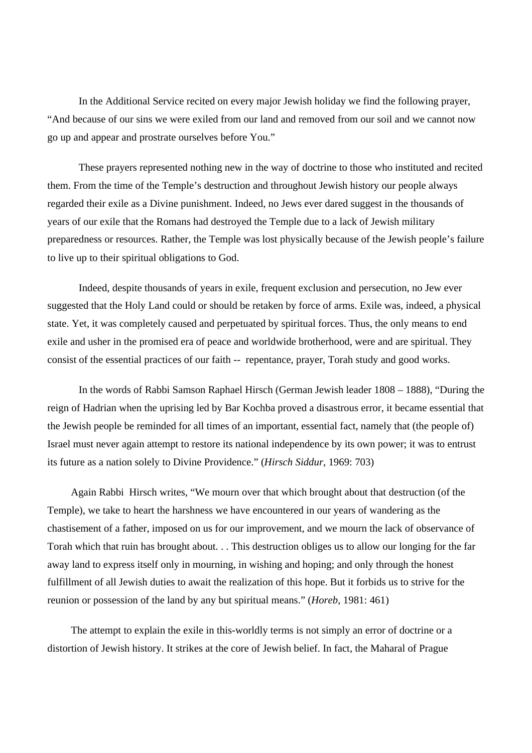In the Additional Service recited on every major Jewish holiday we find the following prayer, "And because of our sins we were exiled from our land and removed from our soil and we cannot now go up and appear and prostrate ourselves before You."

These prayers represented nothing new in the way of doctrine to those who instituted and recited them. From the time of the Temple's destruction and throughout Jewish history our people always regarded their exile as a Divine punishment. Indeed, no Jews ever dared suggest in the thousands of years of our exile that the Romans had destroyed the Temple due to a lack of Jewish military preparedness or resources. Rather, the Temple was lost physically because of the Jewish people's failure to live up to their spiritual obligations to God.

Indeed, despite thousands of years in exile, frequent exclusion and persecution, no Jew ever suggested that the Holy Land could or should be retaken by force of arms. Exile was, indeed, a physical state. Yet, it was completely caused and perpetuated by spiritual forces. Thus, the only means to end exile and usher in the promised era of peace and worldwide brotherhood, were and are spiritual. They consist of the essential practices of our faith -- repentance, prayer, Torah study and good works.

In the words of Rabbi Samson Raphael Hirsch (German Jewish leader 1808 – 1888), "During the reign of Hadrian when the uprising led by Bar Kochba proved a disastrous error, it became essential that the Jewish people be reminded for all times of an important, essential fact, namely that (the people of) Israel must never again attempt to restore its national independence by its own power; it was to entrust its future as a nation solely to Divine Providence." (*Hirsch Siddur*, 1969: 703)

Again Rabbi Hirsch writes, "We mourn over that which brought about that destruction (of the Temple), we take to heart the harshness we have encountered in our years of wandering as the chastisement of a father, imposed on us for our improvement, and we mourn the lack of observance of Torah which that ruin has brought about. . . This destruction obliges us to allow our longing for the far away land to express itself only in mourning, in wishing and hoping; and only through the honest fulfillment of all Jewish duties to await the realization of this hope. But it forbids us to strive for the reunion or possession of the land by any but spiritual means." (*Horeb*, 1981: 461)

The attempt to explain the exile in this-worldly terms is not simply an error of doctrine or a distortion of Jewish history. It strikes at the core of Jewish belief. In fact, the Maharal of Prague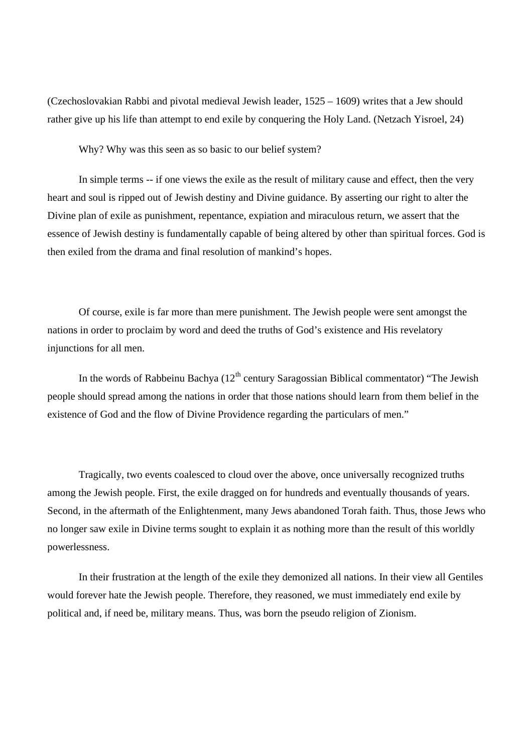(Czechoslovakian Rabbi and pivotal medieval Jewish leader, 1525 – 1609) writes that a Jew should rather give up his life than attempt to end exile by conquering the Holy Land. (Netzach Yisroel, 24)

Why? Why was this seen as so basic to our belief system?

In simple terms -- if one views the exile as the result of military cause and effect, then the very heart and soul is ripped out of Jewish destiny and Divine guidance. By asserting our right to alter the Divine plan of exile as punishment, repentance, expiation and miraculous return, we assert that the essence of Jewish destiny is fundamentally capable of being altered by other than spiritual forces. God is then exiled from the drama and final resolution of mankind's hopes.

Of course, exile is far more than mere punishment. The Jewish people were sent amongst the nations in order to proclaim by word and deed the truths of God's existence and His revelatory injunctions for all men.

In the words of Rabbeinu Bachya ( $12<sup>th</sup>$  century Saragossian Biblical commentator) "The Jewish people should spread among the nations in order that those nations should learn from them belief in the existence of God and the flow of Divine Providence regarding the particulars of men."

Tragically, two events coalesced to cloud over the above, once universally recognized truths among the Jewish people. First, the exile dragged on for hundreds and eventually thousands of years. Second, in the aftermath of the Enlightenment, many Jews abandoned Torah faith. Thus, those Jews who no longer saw exile in Divine terms sought to explain it as nothing more than the result of this worldly powerlessness.

In their frustration at the length of the exile they demonized all nations. In their view all Gentiles would forever hate the Jewish people. Therefore, they reasoned, we must immediately end exile by political and, if need be, military means. Thus, was born the pseudo religion of Zionism.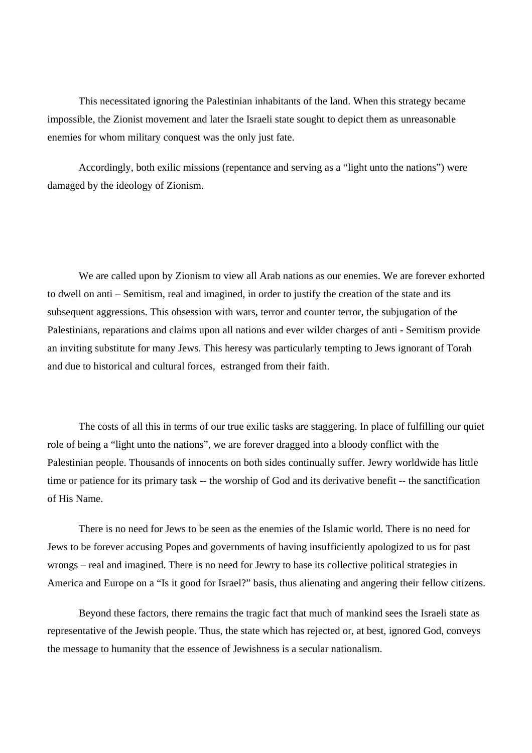This necessitated ignoring the Palestinian inhabitants of the land. When this strategy became impossible, the Zionist movement and later the Israeli state sought to depict them as unreasonable enemies for whom military conquest was the only just fate.

Accordingly, both exilic missions (repentance and serving as a "light unto the nations") were damaged by the ideology of Zionism.

We are called upon by Zionism to view all Arab nations as our enemies. We are forever exhorted to dwell on anti – Semitism, real and imagined, in order to justify the creation of the state and its subsequent aggressions. This obsession with wars, terror and counter terror, the subjugation of the Palestinians, reparations and claims upon all nations and ever wilder charges of anti - Semitism provide an inviting substitute for many Jews. This heresy was particularly tempting to Jews ignorant of Torah and due to historical and cultural forces, estranged from their faith.

The costs of all this in terms of our true exilic tasks are staggering. In place of fulfilling our quiet role of being a "light unto the nations", we are forever dragged into a bloody conflict with the Palestinian people. Thousands of innocents on both sides continually suffer. Jewry worldwide has little time or patience for its primary task -- the worship of God and its derivative benefit -- the sanctification of His Name.

There is no need for Jews to be seen as the enemies of the Islamic world. There is no need for Jews to be forever accusing Popes and governments of having insufficiently apologized to us for past wrongs – real and imagined. There is no need for Jewry to base its collective political strategies in America and Europe on a "Is it good for Israel?" basis, thus alienating and angering their fellow citizens.

Beyond these factors, there remains the tragic fact that much of mankind sees the Israeli state as representative of the Jewish people. Thus, the state which has rejected or, at best, ignored God, conveys the message to humanity that the essence of Jewishness is a secular nationalism.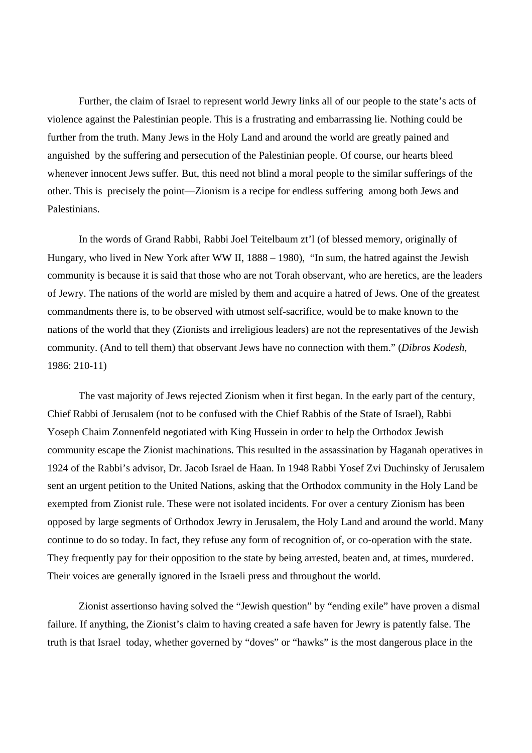Further, the claim of Israel to represent world Jewry links all of our people to the state's acts of violence against the Palestinian people. This is a frustrating and embarrassing lie. Nothing could be further from the truth. Many Jews in the Holy Land and around the world are greatly pained and anguished by the suffering and persecution of the Palestinian people. Of course, our hearts bleed whenever innocent Jews suffer. But, this need not blind a moral people to the similar sufferings of the other. This is precisely the point—Zionism is a recipe for endless suffering among both Jews and Palestinians.

In the words of Grand Rabbi, Rabbi Joel Teitelbaum zt'l (of blessed memory, originally of Hungary, who lived in New York after WW II, 1888 – 1980), "In sum, the hatred against the Jewish community is because it is said that those who are not Torah observant, who are heretics, are the leaders of Jewry. The nations of the world are misled by them and acquire a hatred of Jews. One of the greatest commandments there is, to be observed with utmost self-sacrifice, would be to make known to the nations of the world that they (Zionists and irreligious leaders) are not the representatives of the Jewish community. (And to tell them) that observant Jews have no connection with them." (*Dibros Kodesh*, 1986: 210-11)

The vast majority of Jews rejected Zionism when it first began. In the early part of the century, Chief Rabbi of Jerusalem (not to be confused with the Chief Rabbis of the State of Israel), Rabbi Yoseph Chaim Zonnenfeld negotiated with King Hussein in order to help the Orthodox Jewish community escape the Zionist machinations. This resulted in the assassination by Haganah operatives in 1924 of the Rabbi's advisor, Dr. Jacob Israel de Haan. In 1948 Rabbi Yosef Zvi Duchinsky of Jerusalem sent an urgent petition to the United Nations, asking that the Orthodox community in the Holy Land be exempted from Zionist rule. These were not isolated incidents. For over a century Zionism has been opposed by large segments of Orthodox Jewry in Jerusalem, the Holy Land and around the world. Many continue to do so today. In fact, they refuse any form of recognition of, or co-operation with the state. They frequently pay for their opposition to the state by being arrested, beaten and, at times, murdered. Their voices are generally ignored in the Israeli press and throughout the world.

Zionist assertionso having solved the "Jewish question" by "ending exile" have proven a dismal failure. If anything, the Zionist's claim to having created a safe haven for Jewry is patently false. The truth is that Israel today, whether governed by "doves" or "hawks" is the most dangerous place in the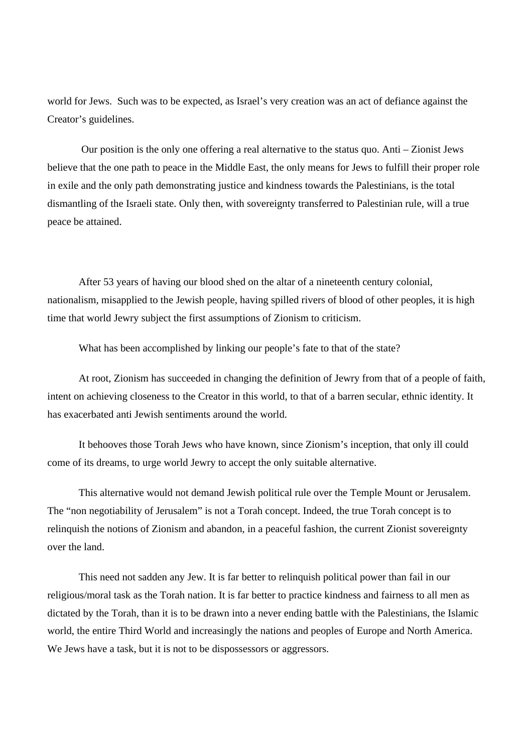world for Jews. Such was to be expected, as Israel's very creation was an act of defiance against the Creator's guidelines.

 Our position is the only one offering a real alternative to the status quo. Anti – Zionist Jews believe that the one path to peace in the Middle East, the only means for Jews to fulfill their proper role in exile and the only path demonstrating justice and kindness towards the Palestinians, is the total dismantling of the Israeli state. Only then, with sovereignty transferred to Palestinian rule, will a true peace be attained.

After 53 years of having our blood shed on the altar of a nineteenth century colonial, nationalism, misapplied to the Jewish people, having spilled rivers of blood of other peoples, it is high time that world Jewry subject the first assumptions of Zionism to criticism.

What has been accomplished by linking our people's fate to that of the state?

At root, Zionism has succeeded in changing the definition of Jewry from that of a people of faith, intent on achieving closeness to the Creator in this world, to that of a barren secular, ethnic identity. It has exacerbated anti Jewish sentiments around the world.

It behooves those Torah Jews who have known, since Zionism's inception, that only ill could come of its dreams, to urge world Jewry to accept the only suitable alternative.

This alternative would not demand Jewish political rule over the Temple Mount or Jerusalem. The "non negotiability of Jerusalem" is not a Torah concept. Indeed, the true Torah concept is to relinquish the notions of Zionism and abandon, in a peaceful fashion, the current Zionist sovereignty over the land.

This need not sadden any Jew. It is far better to relinquish political power than fail in our religious/moral task as the Torah nation. It is far better to practice kindness and fairness to all men as dictated by the Torah, than it is to be drawn into a never ending battle with the Palestinians, the Islamic world, the entire Third World and increasingly the nations and peoples of Europe and North America. We Jews have a task, but it is not to be dispossessors or aggressors.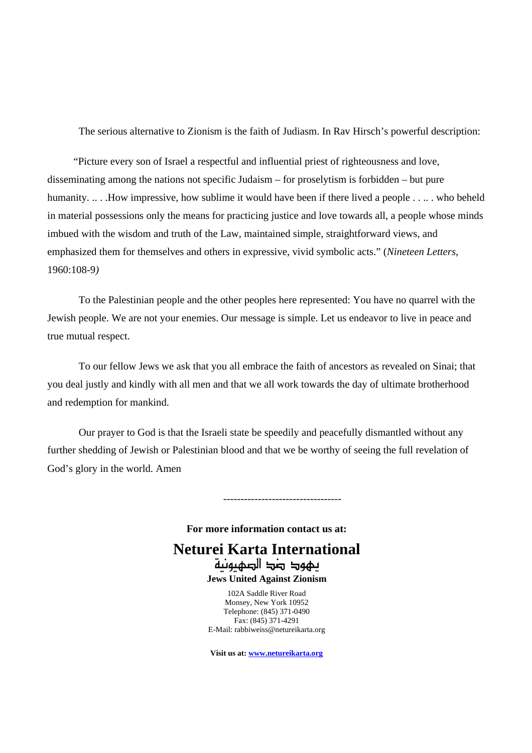The serious alternative to Zionism is the faith of Judiasm. In Rav Hirsch's powerful description:

 "Picture every son of Israel a respectful and influential priest of righteousness and love, disseminating among the nations not specific Judaism – for proselytism is forbidden – but pure humanity. ... . How impressive, how sublime it would have been if there lived a people . . .. . who beheld in material possessions only the means for practicing justice and love towards all, a people whose minds imbued with the wisdom and truth of the Law, maintained simple, straightforward views, and emphasized them for themselves and others in expressive, vivid symbolic acts." (*Nineteen Letters*, 1960:108-9*)*

To the Palestinian people and the other peoples here represented: You have no quarrel with the Jewish people. We are not your enemies. Our message is simple. Let us endeavor to live in peace and true mutual respect.

To our fellow Jews we ask that you all embrace the faith of ancestors as revealed on Sinai; that you deal justly and kindly with all men and that we all work towards the day of ultimate brotherhood and redemption for mankind.

Our prayer to God is that the Israeli state be speedily and peacefully dismantled without any further shedding of Jewish or Palestinian blood and that we be worthy of seeing the full revelation of God's glory in the world. Amen

#### **For more information contact us at: Neturei Karta International** بمهود وغد الصميونية **Jews United Against Zionism**

----------------------------------

102A Saddle River Road Monsey, New York 10952 Telephone: (845) 371-0490 Fax: (845) 371-4291 E-Mail: rabbiweiss@netureikarta.org

**Visit us at: www.netureikarta.org**